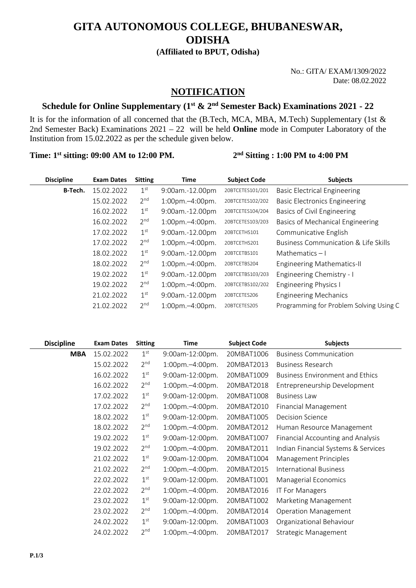# **GITA AUTONOMOUS COLLEGE, BHUBANESWAR, ODISHA**

**(Affiliated to BPUT, Odisha)**

No.: GITA/ EXAM/1309/2022 Date: 08.02.2022

### **NOTIFICATION**

## **Schedule for Online Supplementary (1st & 2nd Semester Back) Examinations 2021 - 22**

It is for the information of all concerned that the (B.Tech, MCA, MBA, M.Tech) Supplementary (1st & 2nd Semester Back) Examinations 2021 – 22 will be held **Online** mode in Computer Laboratory of the Institution from 15.02.2022 as per the schedule given below.

**Time: 1st sitting: 09:00 AM to 12:00 PM. 2nd Sitting : 1:00 PM to 4:00 PM**

| <b>Discipline</b> | <b>Exam Dates</b> | <b>Sitting</b>  | Time                   | <b>Subject Code</b> | <b>Subjects</b>                         |
|-------------------|-------------------|-----------------|------------------------|---------------------|-----------------------------------------|
| B-Tech.           | 15.02.2022        | 1 <sup>st</sup> | 9:00am.-12.00pm        | 20BTCETES101/201    | <b>Basic Electrical Engineering</b>     |
|                   | 15.02.2022        | 2 <sup>nd</sup> | $1:00$ pm. $-4:00$ pm. | 20BTCETES102/202    | <b>Basic Electronics Engineering</b>    |
|                   | 16.02.2022        | 1 <sup>st</sup> | 9:00am.-12.00pm        | 20BTCETES104/204    | Basics of Civil Engineering             |
|                   | 16.02.2022        | 2 <sup>nd</sup> | $1:00$ pm. $-4:00$ pm. | 20BTCETES103/203    | Basics of Mechanical Engineering        |
|                   | 17.02.2022        | 1 <sup>st</sup> | 9:00am.-12.00pm        | 20BTCETHS101        | Communicative English                   |
|                   | 17.02.2022        | 2 <sup>nd</sup> | $1:00$ pm. $-4:00$ pm. | 20BTCETHS201        | Business Communication & Life Skills    |
|                   | 18.02.2022        | 1 <sup>st</sup> | 9:00am.-12.00pm        | 20BTCETBS101        | Mathematics $-1$                        |
|                   | 18.02.2022        | 2 <sup>nd</sup> | $1:00$ pm. $-4:00$ pm. | 20BTCETBS204        | <b>Engineering Mathematics-II</b>       |
|                   | 19.02.2022        | 1 <sup>st</sup> | 9:00am.-12.00pm        | 20BTCETBS103/203    | Engineering Chemistry - I               |
|                   | 19.02.2022        | 2 <sup>nd</sup> | $1:00$ pm. $-4:00$ pm. | 20BTCETBS102/202    | <b>Engineering Physics I</b>            |
|                   | 21.02.2022        | 1 <sup>st</sup> | 9:00am.-12.00pm        | 20BTCETES206        | <b>Engineering Mechanics</b>            |
|                   | 21.02.2022        | 2 <sup>nd</sup> | $1:00$ pm. $-4:00$ pm. | 20BTCETES205        | Programming for Problem Solving Using C |

| <b>Discipline</b> | <b>Exam Dates</b> | <b>Sitting</b>  | Time                   | <b>Subject Code</b> | <b>Subjects</b>                        |
|-------------------|-------------------|-----------------|------------------------|---------------------|----------------------------------------|
| <b>MBA</b>        | 15.02.2022        | 1 <sup>st</sup> | 9:00am-12:00pm.        | 20MBAT1006          | <b>Business Communication</b>          |
|                   | 15.02.2022        | 2 <sup>nd</sup> | 1:00pm.-4:00pm.        | 20MBAT2013          | <b>Business Research</b>               |
|                   | 16.02.2022        | 1 <sup>st</sup> | 9:00am-12:00pm.        | 20MBAT1009          | <b>Business Environment and Ethics</b> |
|                   | 16.02.2022        | 2 <sup>nd</sup> | 1:00pm.-4:00pm.        | 20MBAT2018          | Entrepreneurship Development           |
|                   | 17.02.2022        | 1 <sup>st</sup> | 9:00am-12:00pm.        | 20MBAT1008          | <b>Business Law</b>                    |
|                   | 17.02.2022        | 2 <sup>nd</sup> | $1:00$ pm. $-4:00$ pm. | 20MBAT2010          | Financial Management                   |
|                   | 18.02.2022        | 1 <sup>st</sup> | 9:00am-12:00pm.        | 20MBAT1005          | <b>Decision Science</b>                |
|                   | 18.02.2022        | 2 <sup>nd</sup> | 1:00pm.-4:00pm.        | 20MBAT2012          | Human Resource Management              |
|                   | 19.02.2022        | 1 <sup>st</sup> | 9:00am-12:00pm.        | 20MBAT1007          | Financial Accounting and Analysis      |
|                   | 19.02.2022        | 2 <sup>nd</sup> | 1:00pm.-4:00pm.        | 20MBAT2011          | Indian Financial Systems & Services    |
|                   | 21.02.2022        | 1 <sup>st</sup> | 9:00am-12:00pm.        | 20MBAT1004          | Management Principles                  |
|                   | 21.02.2022        | 2 <sup>nd</sup> | $1:00$ pm. $-4:00$ pm. | 20MBAT2015          | <b>International Business</b>          |
|                   | 22.02.2022        | 1 <sup>st</sup> | 9:00am-12:00pm.        | 20MBAT1001          | Managerial Economics                   |
|                   | 22.02.2022        | 2 <sup>nd</sup> | 1:00pm.-4:00pm.        | 20MBAT2016          | <b>IT For Managers</b>                 |
|                   | 23.02.2022        | 1 <sup>st</sup> | 9:00am-12:00pm.        | 20MBAT1002          | Marketing Management                   |
|                   | 23.02.2022        | 2 <sup>nd</sup> | 1:00pm.-4:00pm.        | 20MBAT2014          | <b>Operation Management</b>            |
|                   | 24.02.2022        | 1 <sup>st</sup> | 9:00am-12:00pm.        | 20MBAT1003          | Organizational Behaviour               |
|                   | 24.02.2022        | 2 <sup>nd</sup> | $1:00$ pm. $-4:00$ pm. | 20MBAT2017          | Strategic Management                   |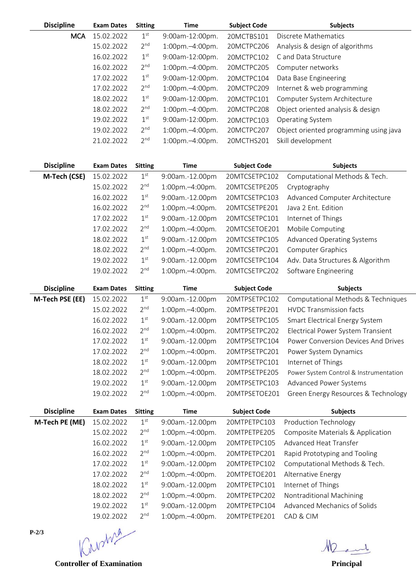| <b>Discipline</b> | <b>Exam Dates</b> | <b>Sitting</b>  | <b>Time</b>            | <b>Subject Code</b> | <b>Subjects</b>                        |
|-------------------|-------------------|-----------------|------------------------|---------------------|----------------------------------------|
| <b>MCA</b>        | 15.02.2022        | 1 <sup>st</sup> | 9:00am-12:00pm.        | 20MCTBS101          | Discrete Mathematics                   |
|                   | 15.02.2022        | 2 <sup>nd</sup> | 1:00pm.-4:00pm.        | 20MCTPC206          | Analysis & design of algorithms        |
|                   | 16.02.2022        | 1 <sup>st</sup> | 9:00am-12:00pm.        | 20MCTPC102          | C and Data Structure                   |
|                   | 16.02.2022        | 2 <sup>nd</sup> | 1:00pm.-4:00pm.        | 20MCTPC205          | Computer networks                      |
|                   | 17.02.2022        | 1 <sup>st</sup> | 9:00am-12:00pm.        | 20MCTPC104          | Data Base Engineering                  |
|                   | 17.02.2022        | 2 <sup>nd</sup> | 1:00pm.-4:00pm.        | 20MCTPC209          | Internet & web programming             |
|                   | 18.02.2022        | 1 <sup>st</sup> | 9:00am-12:00pm.        | 20MCTPC101          | Computer System Architecture           |
|                   | 18.02.2022        | 2 <sup>nd</sup> | $1:00$ pm. $-4:00$ pm. | 20MCTPC208          | Object oriented analysis & design      |
|                   | 19.02.2022        | 1 <sup>st</sup> | 9:00am-12:00pm.        | 20MCTPC103          | Operating System                       |
|                   | 19.02.2022        | 2 <sup>nd</sup> | 1:00pm.-4:00pm.        | 20MCTPC207          | Object oriented programming using java |
|                   | 21.02.2022        | 2 <sub>nd</sub> | $1:00$ pm. $-4:00$ pm. | 20MCTHS201          | Skill development                      |
|                   |                   |                 |                        |                     |                                        |

| <b>Discipline</b> | <b>Exam Dates</b> | <b>Sitting</b>  | <b>Time</b>     | <b>Subject Code</b> | <b>Subjects</b>                        |
|-------------------|-------------------|-----------------|-----------------|---------------------|----------------------------------------|
| M-Tech (CSE)      | 15.02.2022        | 1 <sup>st</sup> | 9:00am.-12.00pm | 20MTCSETPC102       | Computational Methods & Tech.          |
|                   | 15.02.2022        | 2 <sup>nd</sup> | 1:00pm.-4:00pm. | 20MTCSETPE205       | Cryptography                           |
|                   | 16.02.2022        | 1 <sup>st</sup> | 9:00am.-12.00pm | 20MTCSETPC103       | Advanced Computer Architecture         |
|                   | 16.02.2022        | 2 <sup>nd</sup> | 1:00pm.-4:00pm. | 20MTCSETPE201       | Java 2 Ent. Edition                    |
|                   | 17.02.2022        | 1 <sup>st</sup> | 9:00am.-12.00pm | 20MTCSETPC101       | Internet of Things                     |
|                   | 17.02.2022        | 2 <sup>nd</sup> | 1:00pm.-4:00pm. | 20MTCSETOE201       | Mobile Computing                       |
|                   | 18.02.2022        | 1 <sup>st</sup> | 9:00am.-12.00pm | 20MTCSETPC105       | Advanced Operating Systems             |
|                   | 18.02.2022        | 2 <sup>nd</sup> | 1:00pm.-4:00pm. | 20MTCSETPC201       | Computer Graphics                      |
|                   | 19.02.2022        | 1 <sup>st</sup> | 9:00am.-12.00pm | 20MTCSETPC104       | Adv. Data Structures & Algorithm       |
|                   | 19.02.2022        | 2 <sup>nd</sup> | 1:00pm.-4:00pm. | 20MTCSETPC202       | Software Engineering                   |
| <b>Discipline</b> | <b>Exam Dates</b> | <b>Sitting</b>  | <b>Time</b>     | <b>Subject Code</b> | <b>Subjects</b>                        |
| M-Tech PSE (EE)   | 15.02.2022        | 1 <sup>st</sup> | 9:00am.-12.00pm | 20MTPSETPC102       | Computational Methods & Techniques     |
|                   | 15.02.2022        | 2 <sup>nd</sup> | 1:00pm.-4:00pm. | 20MTPSETPE201       | <b>HVDC Transmission facts</b>         |
|                   | 16.02.2022        | 1 <sup>st</sup> | 9:00am.-12.00pm | 20MTPSETPC105       | Smart Electrical Energy System         |
|                   | 16.02.2022        | 2 <sup>nd</sup> | 1:00pm.-4:00pm. | 20MTPSETPC202       | Electrical Power System Transient      |
|                   | 17.02.2022        | 1 <sup>st</sup> | 9:00am.-12.00pm | 20MTPSETPC104       | Power Conversion Devices And Drives    |
|                   | 17.02.2022        | 2 <sup>nd</sup> | 1:00pm.-4:00pm. | 20MTPSETPC201       | Power System Dynamics                  |
|                   | 18.02.2022        | $1^{\text{st}}$ | 9:00am.-12.00pm | 20MTPSETPC101       | Internet of Things                     |
|                   | 18.02.2022        | 2 <sup>nd</sup> | 1:00pm.-4:00pm. | 20MTPSETPE205       | Power System Control & Instrumentation |
|                   | 19.02.2022        | 1 <sup>st</sup> | 9:00am.-12.00pm | 20MTPSETPC103       | <b>Advanced Power Systems</b>          |
|                   | 19.02.2022        | 2 <sup>nd</sup> | 1:00pm.-4:00pm. | 20MTPSETOE201       | Green Energy Resources & Technology    |
| <b>Discipline</b> | <b>Exam Dates</b> | <b>Sitting</b>  | <b>Time</b>     | <b>Subject Code</b> | <b>Subjects</b>                        |
| M-Tech PE (ME)    | 15.02.2022        | 1 <sup>st</sup> | 9:00am.-12.00pm | 20MTPETPC103        | Production Technology                  |
|                   | 15.02.2022        | 2 <sup>nd</sup> | 1:00pm.-4:00pm. | 20MTPETPE205        | Composite Materials & Application      |
|                   | 16.02.2022        | $1^{\text{st}}$ | 9:00am.-12.00pm | 20MTPETPC105        | Advanced Heat Transfer                 |
|                   | 16.02.2022        | 2 <sup>nd</sup> | 1:00pm.-4:00pm. | 20MTPETPC201        | Rapid Prototyping and Tooling          |
|                   | 17.02.2022        | 1 <sup>st</sup> | 9:00am.-12.00pm | 20MTPETPC102        | Computational Methods & Tech.          |
|                   | 17.02.2022        | 2 <sup>nd</sup> | 1:00pm.-4:00pm. | 20MTPETOE201        | Alternative Energy                     |
|                   | 18.02.2022        | 1 <sup>st</sup> | 9:00am.-12.00pm | 20MTPETPC101        | Internet of Things                     |

18.02.2022 2nd 1:00pm.–4:00pm. 20MTPETPC202 Nontraditional Machining

19.02.2022 1st 9:00am.-12.00pm 20MTPETPC104 Advanced Mechanics of Solids

19.02.2022 2<sup>nd</sup> 1:00pm.–4:00pm. 20MTPETPE201 CAD & CIM<br>
W

**Controller of Examination Principal** 

**P-2/3**

Ment.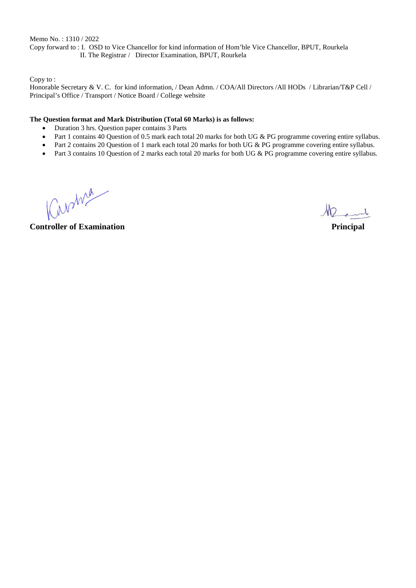Memo No. : 1310 / 2022 Copy forward to : I. OSD to Vice Chancellor for kind information of Hom'ble Vice Chancellor, BPUT, Rourkela II. The Registrar / Director Examination, BPUT, Rourkela

Copy to :

Honorable Secretary & V. C. for kind information, / Dean Admn. / COA/All Directors /All HODs / Librarian/T&P Cell / Principal's Office / Transport / Notice Board / College website

#### **The Question format and Mark Distribution (Total 60 Marks) is as follows:**

- Duration 3 hrs. Question paper contains 3 Parts
- Part 1 contains 40 Question of 0.5 mark each total 20 marks for both UG & PG programme covering entire syllabus.
- Part 2 contains 20 Question of 1 mark each total 20 marks for both UG & PG programme covering entire syllabus.
- Part 3 contains 10 Question of 2 marks each total 20 marks for both UG & PG programme covering entire syllabus.

Kunme

Ment

**Controller of Examination Principal**